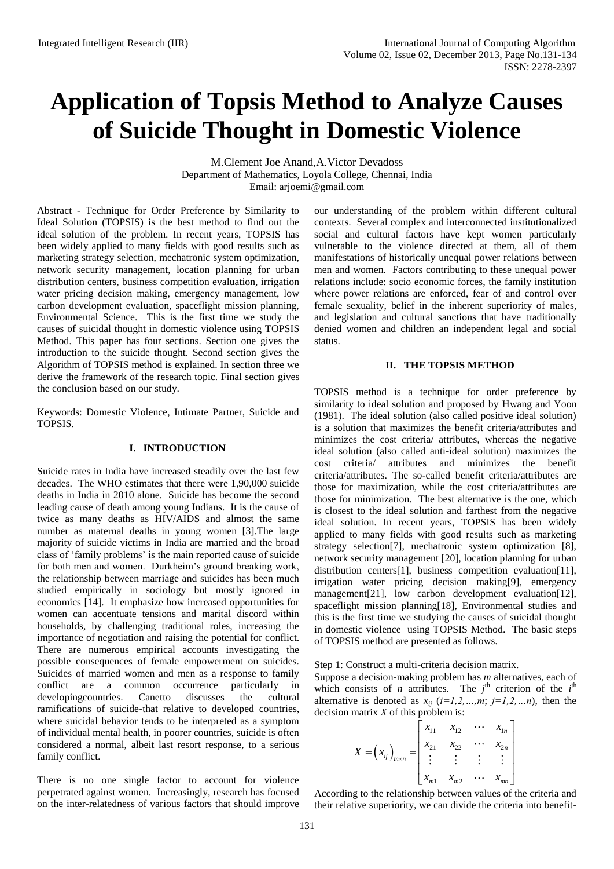# **Application of Topsis Method to Analyze Causes of Suicide Thought in Domestic Violence**

M.Clement Joe Anand,A.Victor Devadoss Department of Mathematics, Loyola College, Chennai, India Email: [arjoemi@gmail.com](mailto:arjoemi@gmail.com)

Abstract - Technique for Order Preference by Similarity to Ideal Solution (TOPSIS) is the best method to find out the ideal solution of the problem. In recent years, TOPSIS has been widely applied to many fields with good results such as marketing strategy selection, mechatronic system optimization, network security management, location planning for urban distribution centers, business competition evaluation, irrigation water pricing decision making, emergency management, low carbon development evaluation, spaceflight mission planning, Environmental Science. This is the first time we study the causes of suicidal thought in domestic violence using TOPSIS Method. This paper has four sections. Section one gives the introduction to the suicide thought. Second section gives the Algorithm of TOPSIS method is explained. In section three we derive the framework of the research topic. Final section gives the conclusion based on our study.

Keywords: Domestic Violence, Intimate Partner, Suicide and TOPSIS.

## **I. INTRODUCTION**

Suicide rates in India have increased steadily over the last few decades. The WHO estimates that there were 1,90,000 suicide deaths in India in 2010 alone. Suicide has become the second leading cause of death among young Indians. It is the cause of twice as many deaths as HIV/AIDS and almost the same number as maternal deaths in young women [3].The large majority of suicide victims in India are married and the broad class of 'family problems' is the main reported cause of suicide for both men and women. Durkheim's ground breaking work, the relationship between marriage and suicides has been much studied empirically in sociology but mostly ignored in economics [14]. It emphasize how increased opportunities for women can accentuate tensions and marital discord within households, by challenging traditional roles, increasing the importance of negotiation and raising the potential for conflict. There are numerous empirical accounts investigating the possible consequences of female empowerment on suicides. Suicides of married women and men as a response to family conflict are a common occurrence particularly in developingcountries. Canetto discusses the cultural ramifications of suicide-that relative to developed countries, where suicidal behavior tends to be interpreted as a symptom of individual mental health, in poorer countries, suicide is often considered a normal, albeit last resort response, to a serious family conflict.

There is no one single factor to account for violence perpetrated against women. Increasingly, research has focused on the inter-relatedness of various factors that should improve our understanding of the problem within different cultural contexts. Several complex and interconnected institutionalized social and cultural factors have kept women particularly vulnerable to the violence directed at them, all of them manifestations of historically unequal power relations between men and women. Factors contributing to these unequal power relations include: socio economic forces, the family institution where power relations are enforced, fear of and control over female sexuality, belief in the inherent superiority of males, and legislation and cultural sanctions that have traditionally denied women and children an independent legal and social status.

## **II. THE TOPSIS METHOD**

TOPSIS method is a technique for order preference by similarity to ideal solution and proposed by Hwang and Yoon (1981). The ideal solution (also called positive ideal solution) is a solution that maximizes the benefit criteria/attributes and minimizes the cost criteria/ attributes, whereas the negative ideal solution (also called anti-ideal solution) maximizes the cost criteria/ attributes and minimizes the benefit criteria/attributes. The so-called benefit criteria/attributes are those for maximization, while the cost criteria/attributes are those for minimization. The best alternative is the one, which is closest to the ideal solution and farthest from the negative ideal solution. In recent years, TOPSIS has been widely applied to many fields with good results such as marketing strategy selection[7], mechatronic system optimization [8], network security management [20], location planning for urban distribution centers<sup>[1]</sup>, business competition evaluation<sup>[11]</sup>, irrigation water pricing decision making[9], emergency management<sup>[21]</sup>, low carbon development evaluation<sup>[12]</sup>, spaceflight mission planning[18], Environmental studies and this is the first time we studying the causes of suicidal thought in domestic violence using TOPSIS Method. The basic steps of TOPSIS method are presented as follows.

Step 1: Construct a multi-criteria decision matrix.

Suppose a decision-making problem has *m* alternatives, each of which consists of *n* attributes. The  $j^{\text{th}}$  criterion of the  $i^{\text{th}}$ alternative is denoted as  $x_{ij}$  ( $i=1,2,...,m$ ;  $j=1,2,...n$ ), then the

decision matrix X of this problem is:  
\n
$$
X = (x_{ij})_{m \times n} = \begin{bmatrix} x_{11} & x_{12} & \cdots & x_{1n} \\ x_{21} & x_{22} & \cdots & x_{2n} \\ \vdots & \vdots & \vdots & \vdots \\ x_{m1} & x_{m2} & \cdots & x_{mn} \end{bmatrix}
$$

According to the relationship between values of the criteria and their relative superiority, we can divide the criteria into benefit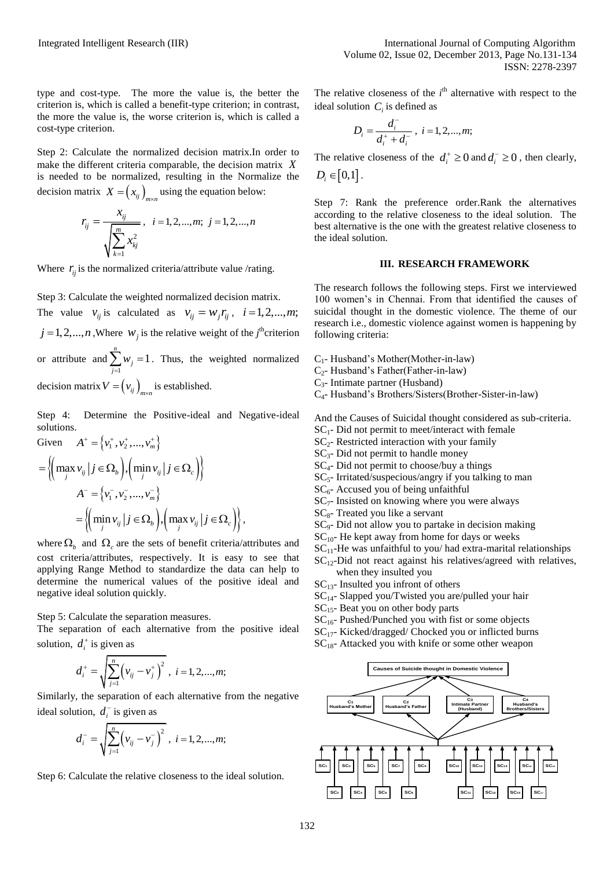type and cost-type. The more the value is, the better the criterion is, which is called a benefit-type criterion; in contrast, the more the value is, the worse criterion is, which is called a cost-type criterion.

Step 2: Calculate the normalized decision matrix.In order to make the different criteria comparable, the decision matrix *X* is needed to be normalized, resulting in the Normalize the decision matrix  $X = (x_{ij})_{m \times n}$  using the equation below:

$$
r_{ij} = \frac{x_{ij}}{\sqrt{\sum_{k=1}^{m} x_{kj}^{2}}}, \quad i = 1, 2, ..., m; \quad j = 1, 2, ..., n
$$

Where  $r_{ij}$  is the normalized criteria/attribute value /rating.

Step 3: Calculate the weighted normalized decision matrix.

The value  $v_{ij}$  is calculated as  $v_{ij} = w_j r_{ij}$ ,  $i = 1, 2, ..., m;$  $j = 1, 2, \dots, n$ , Where  $w_j$  is the relative weight of the *j*<sup>th</sup>criterion or attribute and 1  $\sum_{i=1}^{n} w_i = 1$ *j j w*  $\sum_{j=1} w_j = 1$ . Thus, the weighted normalized

decision matrix  $V = (v_{ij})_{m \times n}$  is established.

Step 4: Determine the Positive-ideal and Negative-ideal solutions.

Given 
$$
A^+ = \{v_1^+, v_2^+, ..., v_m^+\}
$$
  
= 
$$
\left\{ \left( \max_j v_{ij} \middle| j \in \Omega_b \right), \left( \min_j v_{ij} \middle| j \in \Omega_c \right) \right\}
$$
  

$$
A^- = \left\{ v_1^-, v_2^-, ..., v_m^-\right\}
$$
  
= 
$$
\left\{ \left( \min_j v_{ij} \middle| j \in \Omega_b \right), \left( \max_j v_{ij} \middle| j \in \Omega_c \right) \right\},
$$

where  $\Omega_b$  and  $\Omega_c$  are the sets of benefit criteria/attributes and cost criteria/attributes, respectively. It is easy to see that applying Range Method to standardize the data can help to determine the numerical values of the positive ideal and negative ideal solution quickly.

Step 5: Calculate the separation measures.

The separation of each alternative from the positive ideal solution,  $d_i^+$  is given as

$$
d_i^+ = \sqrt{\sum_{j=1}^n (v_{ij} - v_j^+)^2}, \ i = 1, 2, ..., m;
$$

Similarly, the separation of each alternative from the negative ideal solution,  $d_i$ <sup>-</sup> is given as

$$
d_i^- = \sqrt{\sum_{j=1}^n (v_{ij} - v_j^-)^2}, \ i = 1, 2, ..., m;
$$

Step 6: Calculate the relative closeness to the ideal solution.

The relative closeness of the  $i<sup>th</sup>$  alternative with respect to the ideal solution  $C_i$  is defined as

$$
D_i = \frac{d_i^-}{d_i^+ + d_i^-}, \ i = 1, 2, ..., m;
$$

The relative closeness of the  $d_i^+ \ge 0$  and  $d_i^- \ge 0$ , then clearly,  $D_i \in [0,1]$ .

Step 7: Rank the preference order.Rank the alternatives according to the relative closeness to the ideal solution. The best alternative is the one with the greatest relative closeness to the ideal solution.

#### **III. RESEARCH FRAMEWORK**

The research follows the following steps. First we interviewed 100 women's in Chennai. From that identified the causes of suicidal thought in the domestic violence. The theme of our research i.e., domestic violence against women is happening by following criteria:

- $C_1$  Husband's Mother(Mother-in-law)
- C<sub>2</sub>- Husband's Father(Father-in-law)
- $C_3$  Intimate partner (Husband)
- C4- Husband's Brothers/Sisters(Brother-Sister-in-law)

And the Causes of Suicidal thought considered as sub-criteria.  $SC<sub>1</sub>$ - Did not permit to meet/interact with female

- SC<sub>2</sub>- Restricted interaction with your family
- $SC<sub>3</sub>$  Did not permit to handle money
- $SC<sub>4</sub>$  Did not permit to choose/buy a things
- $SC<sub>5</sub>$  Irritated/suspecious/angry if you talking to man

 $SC<sub>6</sub>$ - Accused you of being unfaithful

- $SC<sub>7</sub>$  Insisted on knowing where you were always
- SC<sub>8</sub>- Treated you like a servant
- $SC_9$  Did not allow you to partake in decision making
- $SC<sub>10</sub>$  He kept away from home for days or weeks
- $SC<sub>11</sub>$ -He was unfaithful to you/ had extra-marital relationships
- $SC_{12}$ -Did not react against his relatives/agreed with relatives, when they insulted you
- $SC<sub>13</sub>$  Insulted you infront of others
- $SC<sub>14</sub>$  Slapped you/Twisted you are/pulled your hair
- $SC<sub>15</sub>$  Beat you on other body parts
- $SC<sub>16</sub>$  Pushed/Punched you with fist or some objects
- SC<sub>17</sub>- Kicked/dragged/ Chocked you or inflicted burns
- $SC_{18}$  Attacked you with knife or some other weapon

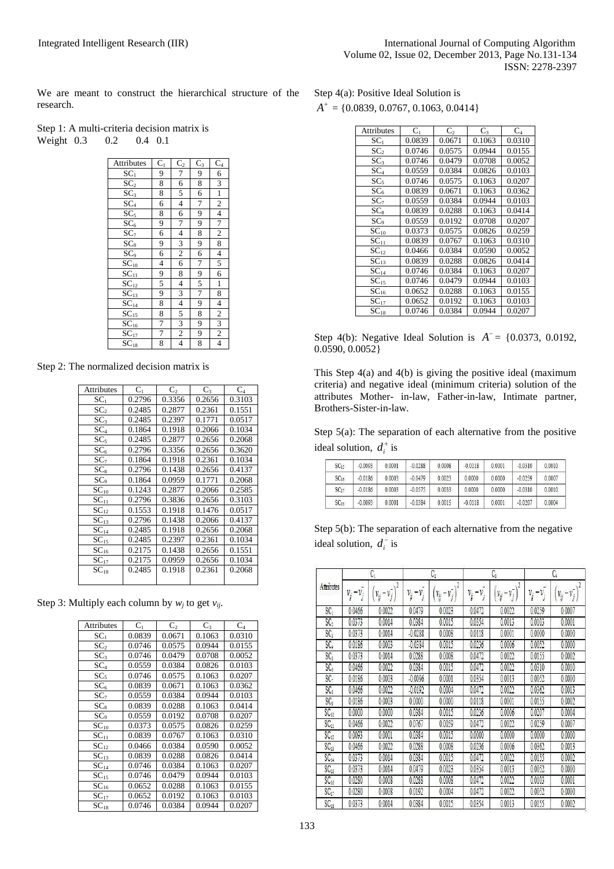We are meant to construct the hierarchical structure of the research.

Step 1: A multi-criteria decision matrix is Weight 0.3 0.2 0.4 0.1

| Attributes                                                                                                                                                    |                                           |                                                         |                                           |                                                                       |
|---------------------------------------------------------------------------------------------------------------------------------------------------------------|-------------------------------------------|---------------------------------------------------------|-------------------------------------------|-----------------------------------------------------------------------|
| SC <sub>1</sub>                                                                                                                                               | $rac{\overline{C_1}}{9}$                  | $rac{\overline{C_2}}{7}$                                | $rac{C_3}{9}$                             | $rac{C_4}{6}$                                                         |
| $\frac{\text{SC}_2}{\text{SC}_3}\frac{\text{SC}_3}{\text{SC}_4}\frac{\text{SC}_4}{\text{SC}_5}\frac{\text{SC}_5}{\text{SC}_6}\frac{\text{SC}_6}{\text{SC}_7}$ | 8                                         | $\frac{6}{5}$                                           | 8                                         | $\frac{3}{1}$ $\frac{1}{2}$ $\frac{2}{4}$ $\frac{7}{2}$ $\frac{2}{8}$ |
|                                                                                                                                                               | 8                                         |                                                         | $\overline{6}$                            |                                                                       |
|                                                                                                                                                               | $\overline{6}$                            | $\overline{4}$                                          | $\frac{7}{9}$ $\frac{9}{8}$ $\frac{8}{9}$ |                                                                       |
|                                                                                                                                                               |                                           |                                                         |                                           |                                                                       |
|                                                                                                                                                               | $\frac{8}{9}$                             | $\frac{6}{7}$ $\frac{4}{3}$ $\frac{1}{2}$               |                                           |                                                                       |
|                                                                                                                                                               | $\frac{6}{9}$                             |                                                         |                                           |                                                                       |
|                                                                                                                                                               |                                           |                                                         |                                           |                                                                       |
| $SC_9$                                                                                                                                                        | 6                                         |                                                         | $\overline{6}$                            |                                                                       |
| $SC_{10}$                                                                                                                                                     |                                           | $\overline{6}$                                          |                                           | $\frac{4}{5}$                                                         |
| $SC_{11}$                                                                                                                                                     | $\frac{4}{9}$ $\frac{5}{8}$ $\frac{9}{8}$ | 8                                                       | $\frac{7}{9}$ $\frac{9}{5}$ $\frac{7}{7}$ |                                                                       |
| $SC_{12}$                                                                                                                                                     |                                           |                                                         |                                           | $\frac{1}{8}$                                                         |
| $SC_{13}$                                                                                                                                                     |                                           |                                                         |                                           |                                                                       |
| SC <sub>14</sub>                                                                                                                                              |                                           |                                                         |                                           |                                                                       |
| $\overline{\text{SC}}_{15}$                                                                                                                                   |                                           |                                                         | $\frac{8}{9}$                             | $\frac{4}{2}$ $\frac{3}{2}$                                           |
| $\overline{\text{SC}}_{16}$                                                                                                                                   | $\frac{8}{7}$                             |                                                         |                                           |                                                                       |
| $\overline{SC}_{17}$                                                                                                                                          | $\overline{7}$                            | $\frac{4}{3}$ $\frac{4}{3}$ $\frac{5}{2}$ $\frac{3}{2}$ |                                           |                                                                       |
| $\overline{\text{SC}}_{18}$                                                                                                                                   | 8                                         | $\overline{4}$                                          | 8                                         | $\overline{4}$                                                        |

Step 2: The normalized decision matrix is

| <b>Attributes</b> | $C_1$  | C <sub>2</sub> | $C_3$  | $C_4$  |
|-------------------|--------|----------------|--------|--------|
| SC <sub>1</sub>   | 0.2796 | 0.3356         | 0.2656 | 0.3103 |
| SC,               | 0.2485 | 0.2877         | 0.2361 | 0.1551 |
| SC <sub>3</sub>   | 0.2485 | 0.2397         | 0.1771 | 0.0517 |
| SC <sub>4</sub>   | 0.1864 | 0.1918         | 0.2066 | 0.1034 |
| SC <sub>5</sub>   | 0.2485 | 0.2877         | 0.2656 | 0.2068 |
| SC <sub>6</sub>   | 0.2796 | 0.3356         | 0.2656 | 0.3620 |
| SC <sub>7</sub>   | 0.1864 | 0.1918         | 0.2361 | 0.1034 |
| $SC_8$            | 0.2796 | 0.1438         | 0.2656 | 0.4137 |
| SC <sub>o</sub>   | 0.1864 | 0.0959         | 0.1771 | 0.2068 |
| $SC_{10}$         | 0.1243 | 0.2877         | 0.2066 | 0.2585 |
| $SC_{11}$         | 0.2796 | 0.3836         | 0.2656 | 0.3103 |
| $SC_{12}$         | 0.1553 | 0.1918         | 0.1476 | 0.0517 |
| $SC_{13}$         | 0.2796 | 0.1438         | 0.2066 | 0.4137 |
| $SC_{14}$         | 0.2485 | 0.1918         | 0.2656 | 0.2068 |
| $SC_{15}$         | 0.2485 | 0.2397         | 0.2361 | 0.1034 |
| SC <sub>16</sub>  | 0.2175 | 0.1438         | 0.2656 | 0.1551 |
| $SC_{17}$         | 0.2175 | 0.0959         | 0.2656 | 0.1034 |
| $SC_{18}$         | 0.2485 | 0.1918         | 0.2361 | 0.2068 |
|                   |        |                |        |        |

Step 3: Multiply each column by  $w_j$  to get  $v_{ij}$ .

| Attributes       | $C_1$  | $C_2$  | C <sub>3</sub> | $C_4$  |
|------------------|--------|--------|----------------|--------|
| SC <sub>1</sub>  | 0.0839 | 0.0671 | 0.1063         | 0.0310 |
| SC,              | 0.0746 | 0.0575 | 0.0944         | 0.0155 |
| SC <sub>3</sub>  | 0.0746 | 0.0479 | 0.0708         | 0.0052 |
| SC <sub>4</sub>  | 0.0559 | 0.0384 | 0.0826         | 0.0103 |
| SC <sub>5</sub>  | 0.0746 | 0.0575 | 0.1063         | 0.0207 |
| SC <sub>6</sub>  | 0.0839 | 0.0671 | 0.1063         | 0.0362 |
| SC7              | 0.0559 | 0.0384 | 0.0944         | 0.0103 |
| $SC_8$           | 0.0839 | 0.0288 | 0.1063         | 0.0414 |
| SC <sub>o</sub>  | 0.0559 | 0.0192 | 0.0708         | 0.0207 |
| $SC_{10}$        | 0.0373 | 0.0575 | 0.0826         | 0.0259 |
| $SC_{11}$        | 0.0839 | 0.0767 | 0.1063         | 0.0310 |
| $SC_{12}$        | 0.0466 | 0.0384 | 0.0590         | 0.0052 |
| SC <sub>13</sub> | 0.0839 | 0.0288 | 0.0826         | 0.0414 |
| SC <sub>14</sub> | 0.0746 | 0.0384 | 0.1063         | 0.0207 |
| $SC_{15}$        | 0.0746 | 0.0479 | 0.0944         | 0.0103 |
| SC <sub>16</sub> | 0.0652 | 0.0288 | 0.1063         | 0.0155 |
| $SC_{17}$        | 0.0652 | 0.0192 | 0.1063         | 0.0103 |
| $SC_{18}$        | 0.0746 | 0.0384 | 0.0944         | 0.0207 |

Step 4(a): Positive Ideal Solution is  $A^+ = \{0.0839, 0.0767, 0.1063, 0.0414\}$ 

| Attributes       | $C_1$  | $\mathbb{C}^{\mathbb{R}}$ | $C_3$  | $C_4$  |
|------------------|--------|---------------------------|--------|--------|
| SC <sub>1</sub>  | 0.0839 | 0.0671                    | 0.1063 | 0.0310 |
| SC <sub>2</sub>  | 0.0746 | 0.0575                    | 0.0944 | 0.0155 |
| SC <sub>3</sub>  | 0.0746 | 0.0479                    | 0.0708 | 0.0052 |
| SC <sub>4</sub>  | 0.0559 | 0.0384                    | 0.0826 | 0.0103 |
| SC <sub>5</sub>  | 0.0746 | 0.0575                    | 0.1063 | 0.0207 |
| SC <sub>6</sub>  | 0.0839 | 0.0671                    | 0.1063 | 0.0362 |
| SC <sub>7</sub>  | 0.0559 | 0.0384                    | 0.0944 | 0.0103 |
| $SC_8$           | 0.0839 | 0.0288                    | 0.1063 | 0.0414 |
| SC <sub>9</sub>  | 0.0559 | 0.0192                    | 0.0708 | 0.0207 |
| $SC_{10}$        | 0.0373 | 0.0575                    | 0.0826 | 0.0259 |
| SC <sub>11</sub> | 0.0839 | 0.0767                    | 0.1063 | 0.0310 |
| SC <sub>12</sub> | 0.0466 | 0.0384                    | 0.0590 | 0.0052 |
| $SC_{13}$        | 0.0839 | 0.0288                    | 0.0826 | 0.0414 |
| SC <sub>14</sub> | 0.0746 | 0.0384                    | 0.1063 | 0.0207 |
| SC <sub>15</sub> | 0.0746 | 0.0479                    | 0.0944 | 0.0103 |
| SC <sub>16</sub> | 0.0652 | 0.0288                    | 0.1063 | 0.0155 |
| $SC_{17}$        | 0.0652 | 0.0192                    | 0.1063 | 0.0103 |
| $SC_{18}$        | 0.0746 | 0.0384                    | 0.0944 | 0.0207 |

Step 4(b): Negative Ideal Solution is  $A^- = \{0.0373, 0.0192,$  $0.0590, 0.0052$ 

This Step 4(a) and 4(b) is giving the positive ideal (maximum criteria) and negative ideal (minimum criteria) solution of the attributes Mother- in-law, Father-in-law, Intimate partner, Brothers-Sister-in-law.

Step 5(a): The separation of each alternative from the positive ideal solution,  $d_i^+$  is

| SC <sub>15</sub> | $-0.0093$ | 0.0001 | $-0.0288$ | 0.0008 | $-0.0118$ | 0.0001 | $-0.0310$ | 0.0010 |
|------------------|-----------|--------|-----------|--------|-----------|--------|-----------|--------|
| SC <sub>16</sub> | $-0.0186$ | 0.0003 | $-0.0479$ | 0.0023 | 0.0000    | 0.0000 | $-0.0259$ | 0.0007 |
| SC <sub>17</sub> | $-0.0186$ | 0.0003 | $-0.0575$ | 0.0033 | 0.0000    | 0.0000 | $-0.0310$ | 0.0010 |
| $SC_{18}$        | $-0.0093$ | 0.0001 | $-0.0384$ | 0.0015 | $-0.0118$ | 0.0001 | $-0.0207$ | 0.0004 |

Step 5(b): The separation of each alternative from the negative ideal solution,  $d_i$ <sup>-</sup> is

|                 | C,                                                  |          | C,                                   |                    | G                         |                  | C.                                   |                |
|-----------------|-----------------------------------------------------|----------|--------------------------------------|--------------------|---------------------------|------------------|--------------------------------------|----------------|
| Attributes      | $-\mathcal{V},$<br>$v_{\scriptscriptstyle \vec{y}}$ | $-v_{i}$ | $-\nu$<br>$v_{\scriptscriptstyle j}$ | $-v_i$<br>$v_{ij}$ | $-v_i$<br>$v_{\tilde{i}}$ | $v_{ij} - v_i^-$ | $v_{\scriptscriptstyle j}$<br>$-\nu$ | $v_{ij} - v_j$ |
| SC:             | 0.0466                                              | 0.0022   | 0.0479                               | 0.0023             | 0.0472                    | 0.0022           | 0.0259                               | 0.0007         |
| SC <sub>2</sub> | 0.0373                                              | 0.0014   | 0.0384                               | 0.0015             | 0.0354                    | 0.0013           | 0.0103                               | 0.0001         |
| SC,             | 0.0373                                              | 0.0014   | $-0.0288$                            | 0.0008             | 0.0118                    | 0.0001           | 0.0000                               | 0.0000         |
| SC.             | 0.0186                                              | 0.0003   | $-0.0384$                            | 0.0015             | 0.0236                    | 0.0006           | 0.0052                               | 0.0000         |
| SC;             | 0.0373                                              | 0.0014   | 0.0288                               | 0.0008             | 0.0472                    | 0.0022           | 0.0155                               | 0.0002         |
| SC.             | 0.0466                                              | 0.0022   | 0.0384                               | 0.0015             | 0.0472                    | 0.0022           | 0.0310                               | 0.0010         |
| SC.             | 0.0186                                              | 0.0003   | $-0.0096$                            | 0.0001             | 0.0354                    | 0.0013           | 0.0052                               | 0.0000         |
| SC:             | 0.0466                                              | 0.0022   | $-0.0192$                            | 0.0004             | 0.0472                    | 0.0022           | 0.0362                               | 0.0013         |
| SC,             | 0.0186                                              | 0.0003   | 0.0000                               | 0.0000             | 0.0118                    | 0.0001           | 0.0155                               | 0.0002         |
| $SC_{10}$       | 0.0000                                              | 0.0000   | 0.0384                               | 0.0015             | 0.0236                    | 0.0006           | 0.0207                               | 0.0004         |
| SC:             | 0.0466                                              | 0.0022   | 0.0767                               | 0.0059             | 0.0472                    | 0.0022           | 0.0259                               | 0.0007         |
| $SC_{12}$       | 0.0093                                              | 0.0001   | 0.0384                               | 0.0015             | 0.0000                    | 0.0000           | 0.0000                               | 0.0000         |
| $SC_{13}$       | 0.0466                                              | 0.0022   | 0.0288                               | 0.0008             | 0.0236                    | 0.0006           | 0.0362                               | 0.0013         |
| SC14            | 0.0373                                              | 0.0014   | 0.0384                               | 0.0015             | 0.0472                    | 0.0022           | 0.0155                               | 0.0002         |
| $SC_{15}$       | 0.0373                                              | 0.0014   | 0.0479                               | 0.0023             | 0.0354                    | 0.0013           | 0.0052                               | 0.0000         |
| $SC_{16}$       | 0.0280                                              | 0.0008   | 0.0288                               | 0.0008             | 0.0472                    | 0.0022           | 0.0103                               | 0.0001         |
| $SC_{17}$       | 0.0280                                              | 0.0008   | 0.0192                               | 0.0004             | 0.0472                    | 0.0022           | 0.0052                               | 0.0000         |
| SC18            | 0.0373                                              | 0.0014   | 0.0384                               | 0.0015             | 0.0354                    | 0.0013           | 0.0155                               | 0.0002         |